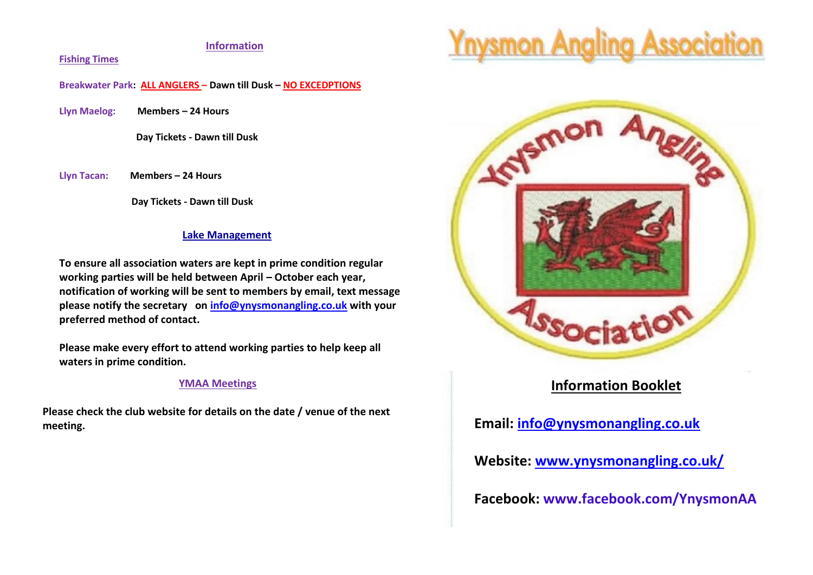## **Information**

#### **Fishing Times**

**Breakwater Park: ALL ANGLERS – Dawn till Dusk – NO EXCEDPTIONS**

**Llyn Maelog: Members – 24 Hours**

 **Day Tickets - Dawn till Dusk**

**Llyn Tacan: Members – 24 Hours**

 **Day Tickets - Dawn till Dusk**

### **Lake Management**

**To ensure all association waters are kept in prime condition regular working parties will be held between April – October each year, notification of working will be sent to members by email, text message please notify the secretary on [info@ynysmonangling.co.uk](mailto:info@ynysmonangling.co.uk) with your preferred method of contact.**

**Please make every effort to attend working parties to help keep all waters in prime condition.** 

#### **YMAA Meetings**

**Please check the club website for details on the date / venue of the next meeting.**





# **Information Booklet**

**Email: [info@ynysmonangling.co.uk](mailto:info@ynysmonangling.co.uk)**

**e**

**P**

**a**

**k**

**Website: [www.ynysmonangling.co.uk/](http://www.ynysmonangling.co.uk/)**

**Facebook: www.facebook.com/YnysmonAA**